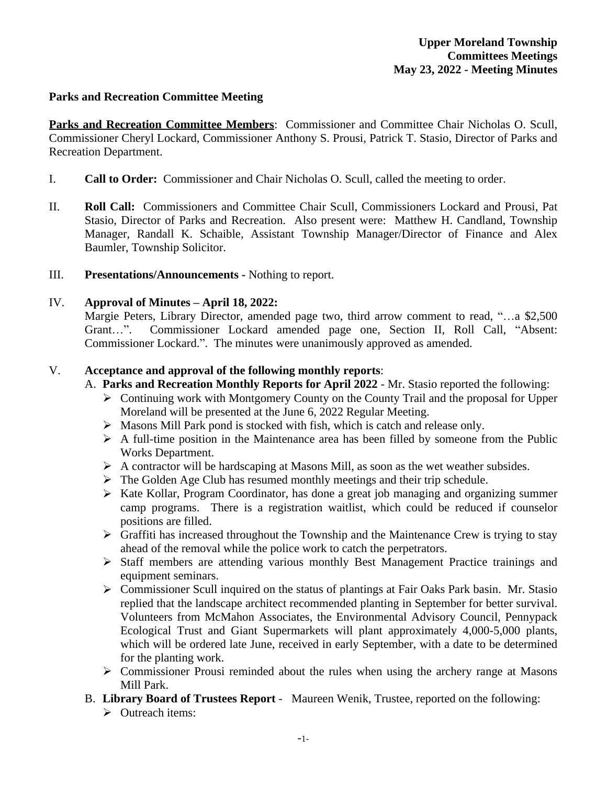#### **Parks and Recreation Committee Meeting**

**Parks and Recreation Committee Members**: Commissioner and Committee Chair Nicholas O. Scull, Commissioner Cheryl Lockard, Commissioner Anthony S. Prousi, Patrick T. Stasio, Director of Parks and Recreation Department.

- I. **Call to Order:** Commissioner and Chair Nicholas O. Scull, called the meeting to order.
- II. **Roll Call:** Commissioners and Committee Chair Scull, Commissioners Lockard and Prousi, Pat Stasio, Director of Parks and Recreation. Also present were: Matthew H. Candland, Township Manager, Randall K. Schaible, Assistant Township Manager/Director of Finance and Alex Baumler, Township Solicitor.
- III. **Presentations/Announcements** Nothing to report.

## IV. **Approval of Minutes – April 18, 2022:**

Margie Peters, Library Director, amended page two, third arrow comment to read, "...a \$2,500 Grant…". Commissioner Lockard amended page one, Section II, Roll Call, "Absent: Commissioner Lockard.". The minutes were unanimously approved as amended.

## V. **Acceptance and approval of the following monthly reports**:

- A. **Parks and Recreation Monthly Reports for April 2022** Mr. Stasio reported the following:
	- Continuing work with Montgomery County on the County Trail and the proposal for Upper Moreland will be presented at the June 6, 2022 Regular Meeting.
	- $\triangleright$  Masons Mill Park pond is stocked with fish, which is catch and release only.
	- $\triangleright$  A full-time position in the Maintenance area has been filled by someone from the Public Works Department.
	- $\triangleright$  A contractor will be hardscaping at Masons Mill, as soon as the wet weather subsides.
	- $\triangleright$  The Golden Age Club has resumed monthly meetings and their trip schedule.
	- $\triangleright$  Kate Kollar, Program Coordinator, has done a great job managing and organizing summer camp programs. There is a registration waitlist, which could be reduced if counselor positions are filled.
	- $\triangleright$  Graffiti has increased throughout the Township and the Maintenance Crew is trying to stay ahead of the removal while the police work to catch the perpetrators.
	- Staff members are attending various monthly Best Management Practice trainings and equipment seminars.
	- $\triangleright$  Commissioner Scull inquired on the status of plantings at Fair Oaks Park basin. Mr. Stasio replied that the landscape architect recommended planting in September for better survival. Volunteers from McMahon Associates, the Environmental Advisory Council, Pennypack Ecological Trust and Giant Supermarkets will plant approximately 4,000-5,000 plants, which will be ordered late June, received in early September, with a date to be determined for the planting work.
	- Commissioner Prousi reminded about the rules when using the archery range at Masons Mill Park.
- B. **Library Board of Trustees Report** Maureen Wenik, Trustee, reported on the following:
	- $\triangleright$  Outreach items: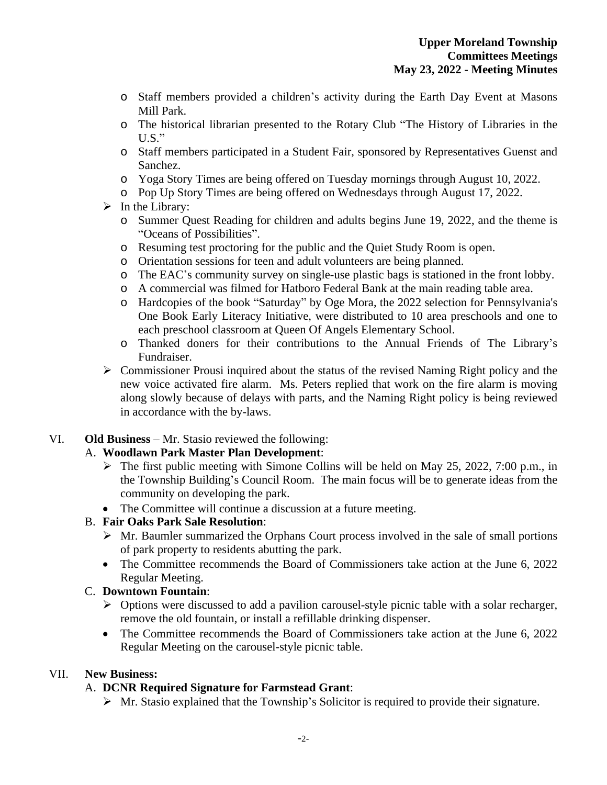- o Staff members provided a children's activity during the Earth Day Event at Masons Mill Park.
- o The historical librarian presented to the Rotary Club "The History of Libraries in the  $U.S.$ "
- o Staff members participated in a Student Fair, sponsored by Representatives Guenst and Sanchez.
- o Yoga Story Times are being offered on Tuesday mornings through August 10, 2022.
- o Pop Up Story Times are being offered on Wednesdays through August 17, 2022.
- $\triangleright$  In the Library:
	- o Summer Quest Reading for children and adults begins June 19, 2022, and the theme is "Oceans of Possibilities".
	- o Resuming test proctoring for the public and the Quiet Study Room is open.
	- o Orientation sessions for teen and adult volunteers are being planned.
	- o The EAC's community survey on single-use plastic bags is stationed in the front lobby.
	- o A commercial was filmed for Hatboro Federal Bank at the main reading table area.
	- o Hardcopies of the book "Saturday" by Oge Mora, the 2022 selection for Pennsylvania's One Book Early Literacy Initiative, were distributed to 10 area preschools and one to each preschool classroom at Queen Of Angels Elementary School.
	- o Thanked doners for their contributions to the Annual Friends of The Library's Fundraiser.
- Commissioner Prousi inquired about the status of the revised Naming Right policy and the new voice activated fire alarm. Ms. Peters replied that work on the fire alarm is moving along slowly because of delays with parts, and the Naming Right policy is being reviewed in accordance with the by-laws.

# VI. **Old Business** – Mr. Stasio reviewed the following:

# A. **Woodlawn Park Master Plan Development**:

- $\triangleright$  The first public meeting with Simone Collins will be held on May 25, 2022, 7:00 p.m., in the Township Building's Council Room. The main focus will be to generate ideas from the community on developing the park.
- The Committee will continue a discussion at a future meeting.

## B. **Fair Oaks Park Sale Resolution**:

- $\triangleright$  Mr. Baumler summarized the Orphans Court process involved in the sale of small portions of park property to residents abutting the park.
- The Committee recommends the Board of Commissioners take action at the June 6, 2022 Regular Meeting.

## C. **Downtown Fountain**:

- $\triangleright$  Options were discussed to add a pavilion carousel-style picnic table with a solar recharger, remove the old fountain, or install a refillable drinking dispenser.
- The Committee recommends the Board of Commissioners take action at the June 6, 2022 Regular Meeting on the carousel-style picnic table.

## VII. **New Business:**

# A. **DCNR Required Signature for Farmstead Grant**:

 $\triangleright$  Mr. Stasio explained that the Township's Solicitor is required to provide their signature.